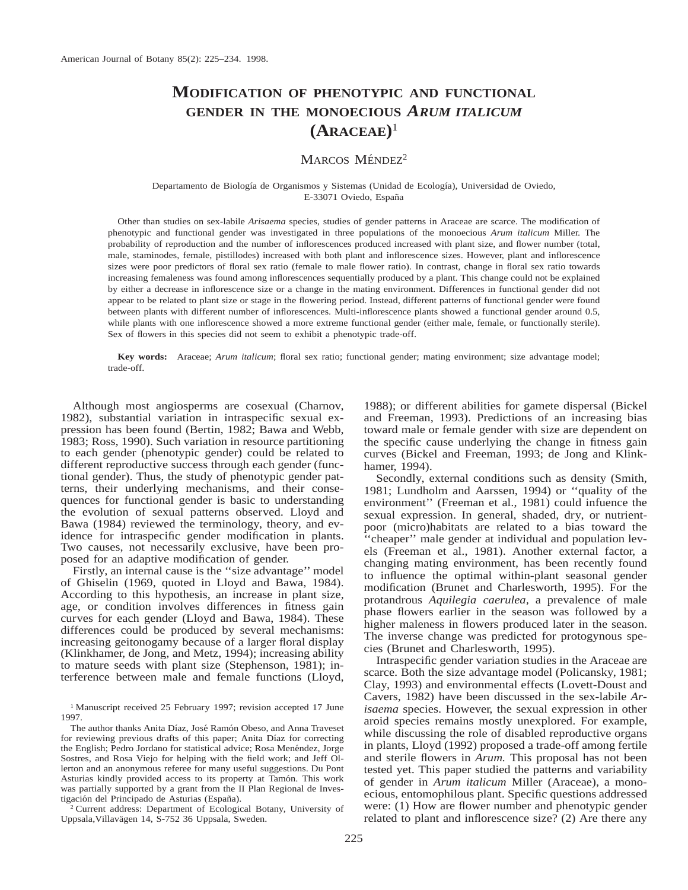# **MODIFICATION OF PHENOTYPIC AND FUNCTIONAL GENDER IN THE MONOECIOUS** *ARUM ITALICUM* **(ARACEAE)**<sup>1</sup>

# MARCOS MÉNDEZ<sup>2</sup>

#### Departamento de Biología de Organismos y Sistemas (Unidad de Ecología), Universidad de Oviedo, E-33071 Oviedo, España

Other than studies on sex-labile *Arisaema* species, studies of gender patterns in Araceae are scarce. The modification of phenotypic and functional gender was investigated in three populations of the monoecious *Arum italicum* Miller. The probability of reproduction and the number of inflorescences produced increased with plant size, and flower number (total, male, staminodes, female, pistillodes) increased with both plant and inflorescence sizes. However, plant and inflorescence sizes were poor predictors of floral sex ratio (female to male flower ratio). In contrast, change in floral sex ratio towards increasing femaleness was found among inflorescences sequentially produced by a plant. This change could not be explained by either a decrease in inflorescence size or a change in the mating environment. Differences in functional gender did not appear to be related to plant size or stage in the flowering period. Instead, different patterns of functional gender were found between plants with different number of inflorescences. Multi-inflorescence plants showed a functional gender around 0.5, while plants with one inflorescence showed a more extreme functional gender (either male, female, or functionally sterile). Sex of flowers in this species did not seem to exhibit a phenotypic trade-off.

**Key words:** Araceae; *Arum italicum*; floral sex ratio; functional gender; mating environment; size advantage model; trade-off.

Although most angiosperms are cosexual (Charnov, 1982), substantial variation in intraspecific sexual expression has been found (Bertin, 1982; Bawa and Webb, 1983; Ross, 1990). Such variation in resource partitioning to each gender (phenotypic gender) could be related to different reproductive success through each gender (functional gender). Thus, the study of phenotypic gender patterns, their underlying mechanisms, and their consequences for functional gender is basic to understanding the evolution of sexual patterns observed. Lloyd and Bawa (1984) reviewed the terminology, theory, and evidence for intraspecific gender modification in plants. Two causes, not necessarily exclusive, have been proposed for an adaptive modification of gender.

Firstly, an internal cause is the ''size advantage'' model of Ghiselin (1969, quoted in Lloyd and Bawa, 1984). According to this hypothesis, an increase in plant size, age, or condition involves differences in fitness gain curves for each gender (Lloyd and Bawa, 1984). These differences could be produced by several mechanisms: increasing geitonogamy because of a larger floral display (Klinkhamer, de Jong, and Metz, 1994); increasing ability to mature seeds with plant size (Stephenson, 1981); interference between male and female functions (Lloyd,

<sup>1</sup> Manuscript received 25 February 1997; revision accepted 17 June 1997.

The author thanks Anita Díaz, José Ramón Obeso, and Anna Traveset for reviewing previous drafts of this paper; Anita Díaz for correcting the English; Pedro Jordano for statistical advice; Rosa Menéndez, Jorge Sostres, and Rosa Viejo for helping with the field work; and Jeff Ollerton and an anonymous referee for many useful suggestions. Du Pont Asturias kindly provided access to its property at Tamón. This work was partially supported by a grant from the II Plan Regional de Investigación del Principado de Asturias (España).

<sup>2</sup> Current address: Department of Ecological Botany, University of Uppsala, Villavägen 14, S-752 36 Uppsala, Sweden.

1988); or different abilities for gamete dispersal (Bickel and Freeman, 1993). Predictions of an increasing bias toward male or female gender with size are dependent on the specific cause underlying the change in fitness gain curves (Bickel and Freeman, 1993; de Jong and Klinkhamer, 1994).

Secondly, external conditions such as density (Smith, 1981; Lundholm and Aarssen, 1994) or ''quality of the environment'' (Freeman et al., 1981) could infuence the sexual expression. In general, shaded, dry, or nutrientpoor (micro)habitats are related to a bias toward the ''cheaper'' male gender at individual and population levels (Freeman et al., 1981). Another external factor, a changing mating environment, has been recently found to influence the optimal within-plant seasonal gender modification (Brunet and Charlesworth, 1995). For the protandrous *Aquilegia caerulea,* a prevalence of male phase flowers earlier in the season was followed by a higher maleness in flowers produced later in the season. The inverse change was predicted for protogynous species (Brunet and Charlesworth, 1995).

Intraspecific gender variation studies in the Araceae are scarce. Both the size advantage model (Policansky, 1981; Clay, 1993) and environmental effects (Lovett-Doust and Cavers, 1982) have been discussed in the sex-labile *Arisaema* species. However, the sexual expression in other aroid species remains mostly unexplored. For example, while discussing the role of disabled reproductive organs in plants, Lloyd (1992) proposed a trade-off among fertile and sterile flowers in *Arum.* This proposal has not been tested yet. This paper studied the patterns and variability of gender in *Arum italicum* Miller (Araceae), a monoecious, entomophilous plant. Specific questions addressed were: (1) How are flower number and phenotypic gender related to plant and inflorescence size? (2) Are there any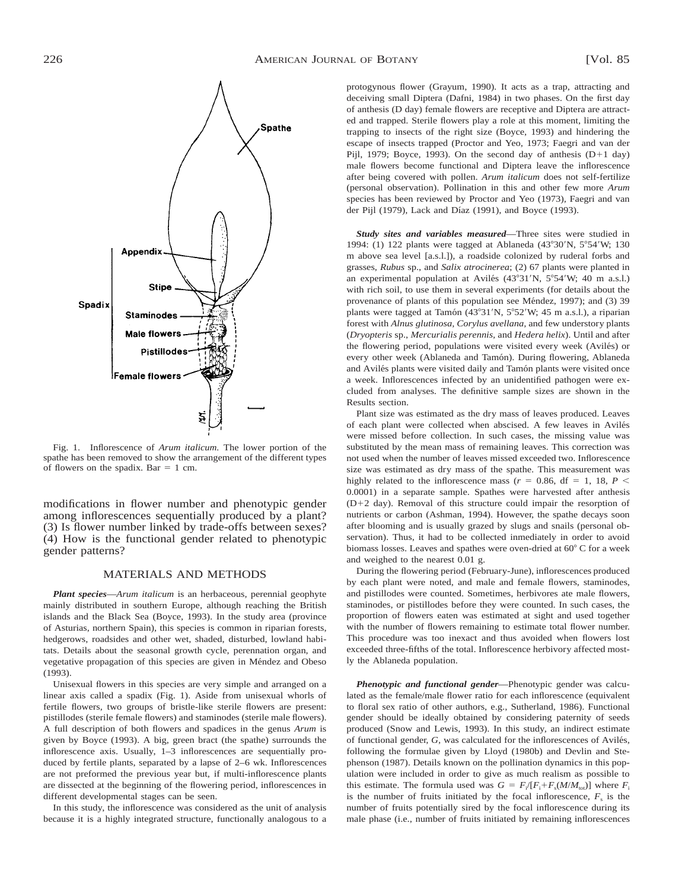

Fig. 1. Inflorescence of *Arum italicum.* The lower portion of the spathe has been removed to show the arrangement of the different types of flowers on the spadix. Bar  $= 1$  cm.

modifications in flower number and phenotypic gender among inflorescences sequentially produced by a plant? (3) Is flower number linked by trade-offs between sexes? (4) How is the functional gender related to phenotypic gender patterns?

### MATERIALS AND METHODS

*Plant species*—*Arum italicum* is an herbaceous, perennial geophyte mainly distributed in southern Europe, although reaching the British islands and the Black Sea (Boyce, 1993). In the study area (province of Asturias, northern Spain), this species is common in riparian forests, hedgerows, roadsides and other wet, shaded, disturbed, lowland habitats. Details about the seasonal growth cycle, perennation organ, and vegetative propagation of this species are given in Méndez and Obeso (1993).

Unisexual flowers in this species are very simple and arranged on a linear axis called a spadix (Fig. 1). Aside from unisexual whorls of fertile flowers, two groups of bristle-like sterile flowers are present: pistillodes (sterile female flowers) and staminodes (sterile male flowers). A full description of both flowers and spadices in the genus *Arum* is given by Boyce (1993). A big, green bract (the spathe) surrounds the inflorescence axis. Usually, 1–3 inflorescences are sequentially produced by fertile plants, separated by a lapse of 2–6 wk. Inflorescences are not preformed the previous year but, if multi-inflorescence plants are dissected at the beginning of the flowering period, inflorescences in different developmental stages can be seen.

In this study, the inflorescence was considered as the unit of analysis because it is a highly integrated structure, functionally analogous to a protogynous flower (Grayum, 1990). It acts as a trap, attracting and deceiving small Diptera (Dafni, 1984) in two phases. On the first day of anthesis (D day) female flowers are receptive and Diptera are attracted and trapped. Sterile flowers play a role at this moment, limiting the trapping to insects of the right size (Boyce, 1993) and hindering the escape of insects trapped (Proctor and Yeo, 1973; Faegri and van der Pijl, 1979; Boyce, 1993). On the second day of anthesis  $(D+1)$  day) male flowers become functional and Diptera leave the inflorescence after being covered with pollen. *Arum italicum* does not self-fertilize (personal observation). Pollination in this and other few more *Arum* species has been reviewed by Proctor and Yeo (1973), Faegri and van der Pijl (1979), Lack and Díaz (1991), and Boyce (1993).

*Study sites and variables measured*—Three sites were studied in 1994: (1) 122 plants were tagged at Ablaneda (43°30'N, 5°54'W; 130 m above sea level [a.s.l.]), a roadside colonized by ruderal forbs and grasses, *Rubus* sp., and *Salix atrocinerea*; (2) 67 plants were planted in an experimental population at Avilés (43°31'N, 5°54'W; 40 m a.s.l.) with rich soil, to use them in several experiments (for details about the provenance of plants of this population see Méndez, 1997); and (3) 39 plants were tagged at Tamón (43°31'N, 5°52'W; 45 m a.s.l.), a riparian forest with *Alnus glutinosa, Corylus avellana,* and few understory plants (*Dryopteris* sp., *Mercurialis perennis,* and *Hedera helix*). Until and after the flowering period, populations were visited every week (Avilés) or every other week (Ablaneda and Tamón). During flowering, Ablaneda and Avilés plants were visited daily and Tamón plants were visited once a week. Inflorescences infected by an unidentified pathogen were excluded from analyses. The definitive sample sizes are shown in the Results section.

Plant size was estimated as the dry mass of leaves produced. Leaves of each plant were collected when abscised. A few leaves in Avilés were missed before collection. In such cases, the missing value was substituted by the mean mass of remaining leaves. This correction was not used when the number of leaves missed exceeded two. Inflorescence size was estimated as dry mass of the spathe. This measurement was highly related to the inflorescence mass ( $r = 0.86$ , df = 1, 18,  $P \leq$ 0.0001) in a separate sample. Spathes were harvested after anthesis  $(D+2)$  day). Removal of this structure could impair the resorption of nutrients or carbon (Ashman, 1994). However, the spathe decays soon after blooming and is usually grazed by slugs and snails (personal observation). Thus, it had to be collected inmediately in order to avoid biomass losses. Leaves and spathes were oven-dried at  $60^{\circ}$  C for a week and weighed to the nearest 0.01 g.

During the flowering period (February-June), inflorescences produced by each plant were noted, and male and female flowers, staminodes, and pistillodes were counted. Sometimes, herbivores ate male flowers, staminodes, or pistillodes before they were counted. In such cases, the proportion of flowers eaten was estimated at sight and used together with the number of flowers remaining to estimate total flower number. This procedure was too inexact and thus avoided when flowers lost exceeded three-fifths of the total. Inflorescence herbivory affected mostly the Ablaneda population.

*Phenotypic and functional gender*—Phenotypic gender was calculated as the female/male flower ratio for each inflorescence (equivalent to floral sex ratio of other authors, e.g., Sutherland, 1986). Functional gender should be ideally obtained by considering paternity of seeds produced (Snow and Lewis, 1993). In this study, an indirect estimate of functional gender, *G*, was calculated for the inflorescences of Avilés, following the formulae given by Lloyd (1980b) and Devlin and Stephenson (1987). Details known on the pollination dynamics in this population were included in order to give as much realism as possible to this estimate. The formula used was  $G = F_i/[F_i + F_s(M/M_{tot})]$  where  $F_i$ is the number of fruits initiated by the focal inflorescence,  $F<sub>s</sub>$  is the number of fruits potentially sired by the focal inflorescence during its male phase (i.e., number of fruits initiated by remaining inflorescences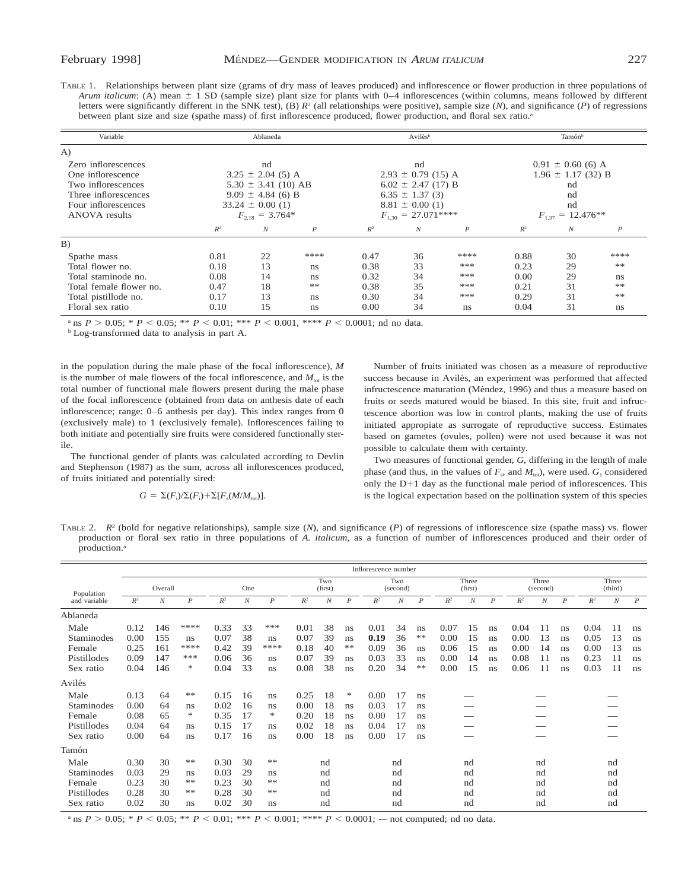| TABLE 1. |                                                                                                                                  |  | Relationships between plant size (grams of dry mass of leaves produced) and inflorescence or flower production in three populations of                   |  |
|----------|----------------------------------------------------------------------------------------------------------------------------------|--|----------------------------------------------------------------------------------------------------------------------------------------------------------|--|
|          |                                                                                                                                  |  | Arum italicum: (A) mean $\pm$ 1 SD (sample size) plant size for plants with 0–4 inflorescences (within columns, means followed by different              |  |
|          |                                                                                                                                  |  | letters were significantly different in the SNK test), (B) $R^2$ (all relationships were positive), sample size (N), and significance (P) of regressions |  |
|          | between plant size and size (spathe mass) of first inflorescence produced, flower production, and floral sex ratio. <sup>a</sup> |  |                                                                                                                                                          |  |

| Variable                |                     | Ablaneda                |                  |       | Avilés <sup>b</sup>    |                  | Tamón <sup>b</sup>    |                        |                  |  |
|-------------------------|---------------------|-------------------------|------------------|-------|------------------------|------------------|-----------------------|------------------------|------------------|--|
| A)                      |                     |                         |                  |       |                        |                  |                       |                        |                  |  |
| Zero inflorescences     |                     | nd                      |                  |       | nd                     |                  |                       | $0.91 \pm 0.60$ (6) A  |                  |  |
| One inflorescence       |                     | $3.25 \pm 2.04$ (5) A   |                  |       | $2.93 \pm 0.79$ (15) A |                  |                       | $1.96 \pm 1.17$ (32) B |                  |  |
| Two inflorescences      |                     | $5.30 \pm 3.41$ (10) AB |                  |       | $6.02 \pm 2.47$ (17) B |                  |                       | nd                     |                  |  |
| Three inflorescences    |                     | $9.09 \pm 4.84$ (6) B   |                  |       | $6.35 \pm 1.37(3)$     |                  | nd                    |                        |                  |  |
| Four inflorescences     |                     | $33.24 \pm 0.00(1)$     |                  |       | $8.81 \pm 0.00$ (1)    |                  | nd                    |                        |                  |  |
| <b>ANOVA</b> results    | $F_{2.18} = 3.764*$ |                         |                  |       | $F_{1,30} = 27.071***$ |                  | $F_{1,37} = 12.476**$ |                        |                  |  |
|                         | $R^2$               | $\boldsymbol{N}$        | $\boldsymbol{P}$ | $R^2$ | $\boldsymbol{N}$       | $\boldsymbol{P}$ | $R^2$                 | $\boldsymbol{N}$       | $\boldsymbol{P}$ |  |
| B)                      |                     |                         |                  |       |                        |                  |                       |                        |                  |  |
| Spathe mass             | 0.81                | 22                      | ****             | 0.47  | 36                     | ****             | 0.88                  | 30                     | ****             |  |
| Total flower no.        | 0.18                | 13                      | ns               | 0.38  | 33                     | ***              | 0.23                  | 29                     | **               |  |
| Total staminode no.     | 0.08                | 14                      | ns               | 0.32  | 34                     | ***              | 0.00                  | 29                     | ns               |  |
| Total female flower no. | 0.47                | 18                      | **               | 0.38  | 35                     | ***              | 0.21                  | 31                     | **               |  |
| Total pistillode no.    | 0.17                | 13                      | ns               | 0.30  | 34                     | ***              | 0.29                  | 31                     | **               |  |
| Floral sex ratio        | 0.10                | 15                      | ns               | 0.00  | 34                     | ns               | 0.04                  | 31                     | ns               |  |

a ns  $P > 0.05$ ;  $* P < 0.05$ ;  $* P < 0.01$ ;  $* * P < 0.001$ ,  $* * * P < 0.0001$ ; nd no data.

<sup>b</sup> Log-transformed data to analysis in part A.

in the population during the male phase of the focal inflorescence), *M* is the number of male flowers of the focal inflorescence, and  $M_{\text{tot}}$  is the total number of functional male flowers present during the male phase of the focal inflorescence (obtained from data on anthesis date of each inflorescence; range: 0–6 anthesis per day). This index ranges from 0 (exclusively male) to 1 (exclusively female). Inflorescences failing to both initiate and potentially sire fruits were considered functionally sterile.

The functional gender of plants was calculated according to Devlin and Stephenson (1987) as the sum, across all inflorescences produced, of fruits initiated and potentially sired:

$$
G = \Sigma(F_i) / \Sigma(F_i) + \Sigma[F_s(M/M_{\text{tot}})].
$$

Number of fruits initiated was chosen as a measure of reproductive success because in Avilés, an experiment was performed that affected infructescence maturation (Méndez, 1996) and thus a measure based on fruits or seeds matured would be biased. In this site, fruit and infructescence abortion was low in control plants, making the use of fruits initiated appropiate as surrogate of reproductive success. Estimates based on gametes (ovules, pollen) were not used because it was not possible to calculate them with certainty.

Two measures of functional gender, *G,* differing in the length of male phase (and thus, in the values of  $F_s$ , and  $M_{\text{tot}}$ ), were used.  $G_1$  considered only the  $D+1$  day as the functional male period of inflorescences. This is the logical expectation based on the pollination system of this species

TABLE 2.  $R^2$  (bold for negative relationships), sample size (*N*), and significance (*P*) of regressions of inflorescence size (spathe mass) vs. flower production or floral sex ratio in three populations of *A. italicum,* as a function of number of inflorescences produced and their order of production.<sup>a</sup>

|              | Inflorescence number |                  |                  |       |                  |                  |       |                  |                  |       |                  |                  |       |                  |                  |       |                   |                  |       |                  |                  |
|--------------|----------------------|------------------|------------------|-------|------------------|------------------|-------|------------------|------------------|-------|------------------|------------------|-------|------------------|------------------|-------|-------------------|------------------|-------|------------------|------------------|
| Population   |                      | Overall          |                  |       | One              |                  |       | Two<br>(first)   |                  |       | Two<br>(second)  |                  |       | Three<br>(first) |                  |       | Three<br>(second) |                  |       | Three<br>(third) |                  |
| and variable | $R^2$                | $\boldsymbol{N}$ | $\boldsymbol{P}$ | $R^2$ | $\boldsymbol{N}$ | $\boldsymbol{P}$ | $R^2$ | $\boldsymbol{N}$ | $\boldsymbol{P}$ | $R^2$ | $\boldsymbol{N}$ | $\boldsymbol{P}$ | $R^2$ | $\boldsymbol{N}$ | $\boldsymbol{P}$ | $R^2$ | $\boldsymbol{N}$  | $\boldsymbol{P}$ | $R^2$ | $\boldsymbol{N}$ | $\boldsymbol{P}$ |
| Ablaneda     |                      |                  |                  |       |                  |                  |       |                  |                  |       |                  |                  |       |                  |                  |       |                   |                  |       |                  |                  |
| Male         | 0.12                 | 146              | ****             | 0.33  | 33               | ***              | 0.01  | 38               | ns               | 0.01  | 34               | ns               | 0.07  | 15               | ns               | 0.04  |                   | ns               | 0.04  | 11               | ns               |
| Staminodes   | 0.00                 | 155              | ns.              | 0.07  | 38               | ns               | 0.07  | 39               | ns               | 0.19  | 36               | **               | 0.00  | 15               | ns               | 0.00  | 13                | ns               | 0.05  | 13               | ns               |
| Female       | 0.25                 | 161              | ****             | 0.42  | 39               | ****             | 0.18  | 40               | **               | 0.09  | 36               | ns.              | 0.06  | 15               | ns               | 0.00  | 14                | ns               | 0.00  | 13               | ns               |
| Pistillodes  | 0.09                 | 147              | ***              | 0.06  | 36               | ns               | 0.07  | 39               | ns               | 0.03  | 33               | ns.              | 0.00  | 14               | ns               | 0.08  | 11                | ns               | 0.23  | 11               | ns               |
| Sex ratio    | 0.04                 | 146              | *                | 0.04  | 33               | ns               | 0.08  | 38               | ns               | 0.20  | 34               | **               | 0.00  | 15               | ns               | 0.06  | 11                | ns               | 0.03  | 11               | <sub>ns</sub>    |
| Avilés       |                      |                  |                  |       |                  |                  |       |                  |                  |       |                  |                  |       |                  |                  |       |                   |                  |       |                  |                  |
| Male         | 0.13                 | 64               | **               | 0.15  | 16               | ns               | 0.25  | 18               | *                | 0.00  | 17               | ns               |       |                  |                  |       |                   |                  |       |                  |                  |
| Staminodes   | 0.00                 | 64               | ns               | 0.02  | 16               | ns               | 0.00  | 18               | ns               | 0.03  | 17               | ns               |       |                  |                  |       |                   |                  |       |                  |                  |
| Female       | 0.08                 | 65               | *                | 0.35  | 17               | *                | 0.20  | 18               | ns               | 0.00  | 17               | ns               |       |                  |                  |       |                   |                  |       |                  |                  |
| Pistillodes  | 0.04                 | 64               | ns               | 0.15  | 17               | ns               | 0.02  | 18               | ns               | 0.04  | 17               | ns               |       |                  |                  |       |                   |                  |       |                  |                  |
| Sex ratio    | 0.00                 | 64               | ns               | 0.17  | 16               | ns               | 0.00  | 18               | ns               | 0.00  | 17               | ns               |       |                  |                  |       |                   |                  |       |                  |                  |
| Tamón        |                      |                  |                  |       |                  |                  |       |                  |                  |       |                  |                  |       |                  |                  |       |                   |                  |       |                  |                  |
| Male         | 0.30                 | 30               | **               | 0.30  | 30               | **               |       | nd               |                  |       | nd               |                  |       | nd               |                  |       | nd                |                  |       | nd               |                  |
| Staminodes   | 0.03                 | 29               | ns               | 0.03  | 29               | ns               |       | nd               |                  |       | nd               |                  |       | nd               |                  |       | nd                |                  |       | nd               |                  |
| Female       | 0.23                 | 30               | **               | 0.23  | 30               | **               |       | nd               |                  |       | nd               |                  |       | nd               |                  |       | nd                |                  |       | nd               |                  |
| Pistillodes  | 0.28                 | 30               | **               | 0.28  | 30               | **               |       | nd               |                  |       | nd               |                  |       | nd               |                  |       | nd                |                  |       | nd               |                  |
| Sex ratio    | 0.02                 | 30               | ns               | 0.02  | 30               | ns               |       | nd               |                  |       | nd               |                  |       | nd               |                  |       | nd                |                  |       | nd               |                  |

<sup>a</sup> ns  $P > 0.05$ ;  ${}^*P < 0.05$ ;  ${}^{**}P < 0.01$ ;  ${}^{***}P < 0.001$ ;  ${}^{***}P < 0.0001$ ; -- not computed; nd no data.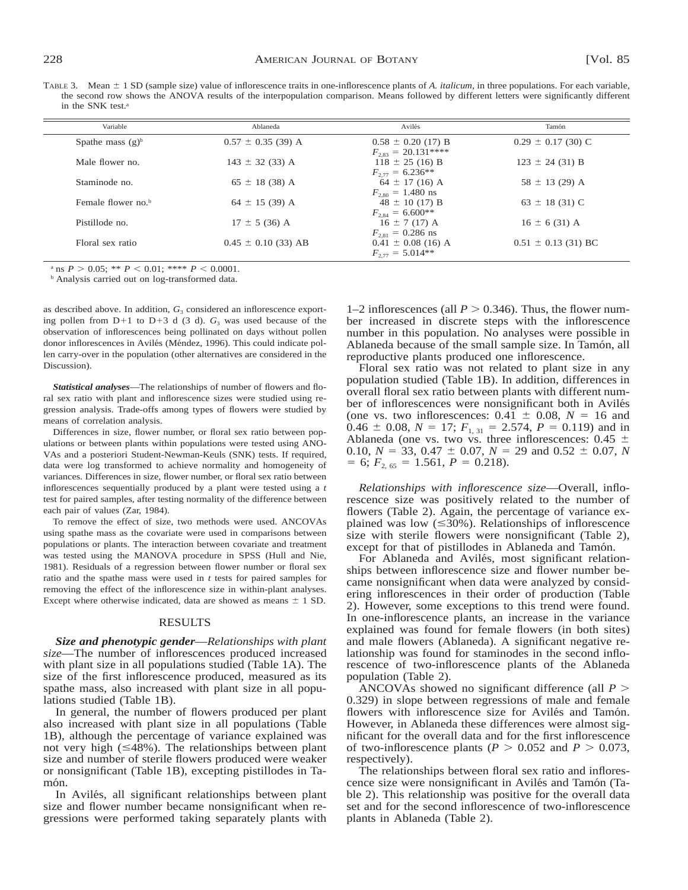TABLE 3. Mean  $\pm$  1 SD (sample size) value of inflorescence traits in one-inflorescence plants of *A. italicum*, in three populations. For each variable, the second row shows the ANOVA results of the interpopulation comparison. Means followed by different letters were significantly different in the SNK test.<sup>a</sup>

| Ablaneda                | Avilés                                        | Tamón                                                                                                                   |
|-------------------------|-----------------------------------------------|-------------------------------------------------------------------------------------------------------------------------|
| $0.57 \pm 0.35$ (39) A  | $0.58 \pm 0.20$ (17) B                        | $0.29 \pm 0.17$ (30) C                                                                                                  |
| $143 \pm 32$ (33) A     | $118 \pm 25$ (16) B                           | $123 \pm 24$ (31) B                                                                                                     |
| $65 \pm 18$ (38) A      | $64 \pm 17$ (16) A                            | $58 \pm 13$ (29) A                                                                                                      |
| $64 \pm 15$ (39) A      | $48 \pm 10$ (17) B                            | $63 \pm 18$ (31) C                                                                                                      |
| $17 \pm 5$ (36) A       | $16 \pm 7$ (17) A                             | $16 \pm 6$ (31) A                                                                                                       |
| $0.45 \pm 0.10$ (33) AB | $0.41 \pm 0.08$ (16) A<br>$F_{277} = 5.014**$ | $0.51 \pm 0.13$ (31) BC                                                                                                 |
|                         |                                               | $F_{2.83} = 20.131***$<br>$F_{277} = 6.236**$<br>$F_{2.80} = 1.480$ ns<br>$F_{2.84} = 6.600**$<br>$F_{2.81} = 0.286$ ns |

a ns  $P > 0.05$ ; \*\*  $P < 0.01$ ; \*\*\*\*  $P < 0.0001$ .

<sup>b</sup> Analysis carried out on log-transformed data.

as described above. In addition,  $G_3$  considered an inflorescence exporting pollen from  $D+1$  to  $D+3$  d (3 d).  $G_3$  was used because of the observation of inflorescences being pollinated on days without pollen donor inflorescences in Avilés (Méndez, 1996). This could indicate pollen carry-over in the population (other alternatives are considered in the Discussion).

*Statistical analyses*—The relationships of number of flowers and floral sex ratio with plant and inflorescence sizes were studied using regression analysis. Trade-offs among types of flowers were studied by means of correlation analysis.

Differences in size, flower number, or floral sex ratio between populations or between plants within populations were tested using ANO-VAs and a posteriori Student-Newman-Keuls (SNK) tests. If required, data were log transformed to achieve normality and homogeneity of variances. Differences in size, flower number, or floral sex ratio between inflorescences sequentially produced by a plant were tested using a *t* test for paired samples, after testing normality of the difference between each pair of values (Zar, 1984).

To remove the effect of size, two methods were used. ANCOVAs using spathe mass as the covariate were used in comparisons between populations or plants. The interaction between covariate and treatment was tested using the MANOVA procedure in SPSS (Hull and Nie, 1981). Residuals of a regression between flower number or floral sex ratio and the spathe mass were used in *t* tests for paired samples for removing the effect of the inflorescence size in within-plant analyses. Except where otherwise indicated, data are showed as means  $\pm$  1 SD.

#### RESULTS

*Size and phenotypic gender*—*Relationships with plant size*—The number of inflorescences produced increased with plant size in all populations studied (Table 1A). The size of the first inflorescence produced, measured as its spathe mass, also increased with plant size in all populations studied (Table 1B).

In general, the number of flowers produced per plant also increased with plant size in all populations (Table 1B), although the percentage of variance explained was not very high  $(\leq 48\%)$ . The relationships between plant size and number of sterile flowers produced were weaker or nonsignificant (Table 1B), excepting pistillodes in Tamón.

In Avilés, all significant relationships between plant size and flower number became nonsignificant when regressions were performed taking separately plants with 1–2 inflorescences (all  $P > 0.346$ ). Thus, the flower number increased in discrete steps with the inflorescence number in this population. No analyses were possible in Ablaneda because of the small sample size. In Tamón, all reproductive plants produced one inflorescence.

Floral sex ratio was not related to plant size in any population studied (Table 1B). In addition, differences in overall floral sex ratio between plants with different number of inflorescences were nonsignificant both in Avilés (one vs. two inflorescences:  $0.4\overline{1} \pm 0.08$ ,  $N = 16$  and  $0.46 \pm 0.08$ ,  $N = 17$ ;  $F_{1, 31} = 2.574$ ,  $P = 0.119$ ) and in Ablaneda (one vs. two vs. three inflorescences:  $0.45 \pm$ 0.10,  $N = 33$ , 0.47  $\pm$  0.07,  $N = 29$  and 0.52  $\pm$  0.07, *N*  $= 6; F_{2, 65} = 1.561, P = 0.218.$ 

*Relationships with inflorescence size*—Overall, inflorescence size was positively related to the number of flowers (Table 2). Again, the percentage of variance explained was low  $(\leq 30\%)$ . Relationships of inflorescence size with sterile flowers were nonsignificant (Table 2), except for that of pistillodes in Ablaneda and Tamón.

For Ablaneda and Avilés, most significant relationships between inflorescence size and flower number became nonsignificant when data were analyzed by considering inflorescences in their order of production (Table 2). However, some exceptions to this trend were found. In one-inflorescence plants, an increase in the variance explained was found for female flowers (in both sites) and male flowers (Ablaneda). A significant negative relationship was found for staminodes in the second inflorescence of two-inflorescence plants of the Ablaneda population (Table 2).

ANCOVAs showed no significant difference (all  $P >$ 0.329) in slope between regressions of male and female flowers with inflorescence size for Avilés and Tamón. However, in Ablaneda these differences were almost significant for the overall data and for the first inflorescence of two-inflorescence plants ( $P > 0.052$  and  $P > 0.073$ , respectively).

The relationships between floral sex ratio and inflorescence size were nonsignificant in Avilés and Tamón (Table 2). This relationship was positive for the overall data set and for the second inflorescence of two-inflorescence plants in Ablaneda (Table 2).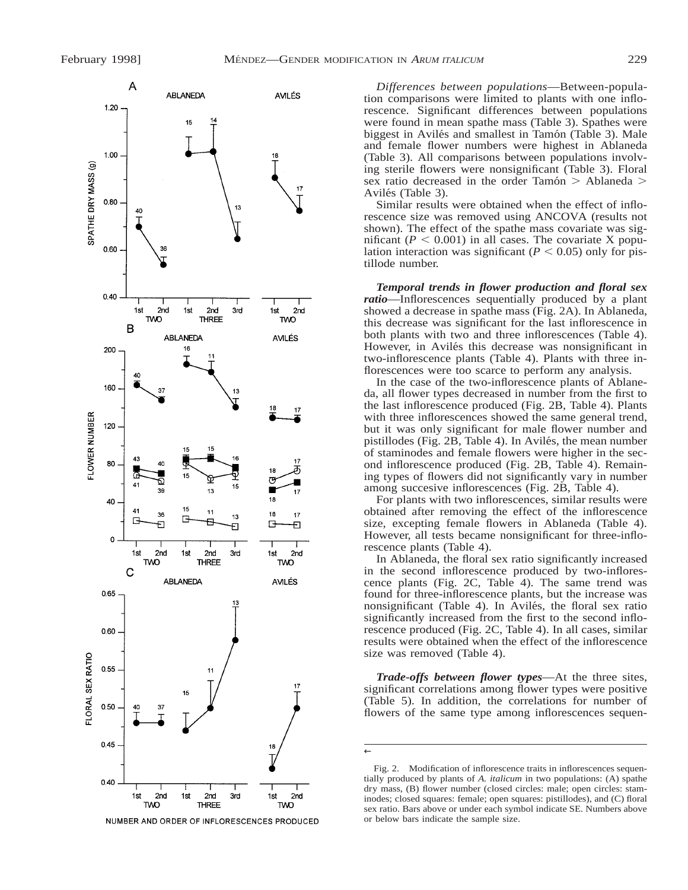

NUMBER AND ORDER OF INFLORESCENCES PRODUCED

*Differences between populations*—Between-population comparisons were limited to plants with one inflorescence. Significant differences between populations were found in mean spathe mass (Table 3). Spathes were biggest in Avilés and smallest in Tamón (Table 3). Male and female flower numbers were highest in Ablaneda (Table 3). All comparisons between populations involving sterile flowers were nonsignificant (Table 3). Floral sex ratio decreased in the order Tamón  $>$  Ablaneda  $>$ Avilés (Table 3).

Similar results were obtained when the effect of inflorescence size was removed using ANCOVA (results not shown). The effect of the spathe mass covariate was significant ( $P < 0.001$ ) in all cases. The covariate X population interaction was significant  $(P < 0.05)$  only for pistillode number.

*Temporal trends in flower production and floral sex ratio*—Inflorescences sequentially produced by a plant showed a decrease in spathe mass (Fig. 2A). In Ablaneda, this decrease was significant for the last inflorescence in both plants with two and three inflorescences (Table 4). However, in Avilés this decrease was nonsignificant in two-inflorescence plants (Table 4). Plants with three inflorescences were too scarce to perform any analysis.

In the case of the two-inflorescence plants of Ablaneda, all flower types decreased in number from the first to the last inflorescence produced (Fig. 2B, Table 4). Plants with three inflorescences showed the same general trend, but it was only significant for male flower number and pistillodes (Fig. 2B, Table 4). In Avilés, the mean number of staminodes and female flowers were higher in the second inflorescence produced (Fig. 2B, Table 4). Remaining types of flowers did not significantly vary in number among succesive inflorescences (Fig. 2B, Table 4).

For plants with two inflorescences, similar results were obtained after removing the effect of the inflorescence size, excepting female flowers in Ablaneda (Table 4). However, all tests became nonsignificant for three-inflorescence plants (Table 4).

In Ablaneda, the floral sex ratio significantly increased in the second inflorescence produced by two-inflorescence plants (Fig. 2C, Table 4). The same trend was found for three-inflorescence plants, but the increase was nonsignificant (Table 4). In Avilés, the floral sex ratio significantly increased from the first to the second inflorescence produced (Fig. 2C, Table 4). In all cases, similar results were obtained when the effect of the inflorescence size was removed (Table 4).

*Trade-offs between flower types*—At the three sites, significant correlations among flower types were positive (Table 5). In addition, the correlations for number of flowers of the same type among inflorescences sequen-

<sup>←</sup>

Fig. 2. Modification of inflorescence traits in inflorescences sequentially produced by plants of *A. italicum* in two populations: (A) spathe dry mass, (B) flower number (closed circles: male; open circles: staminodes; closed squares: female; open squares: pistillodes), and (C) floral sex ratio. Bars above or under each symbol indicate SE. Numbers above or below bars indicate the sample size.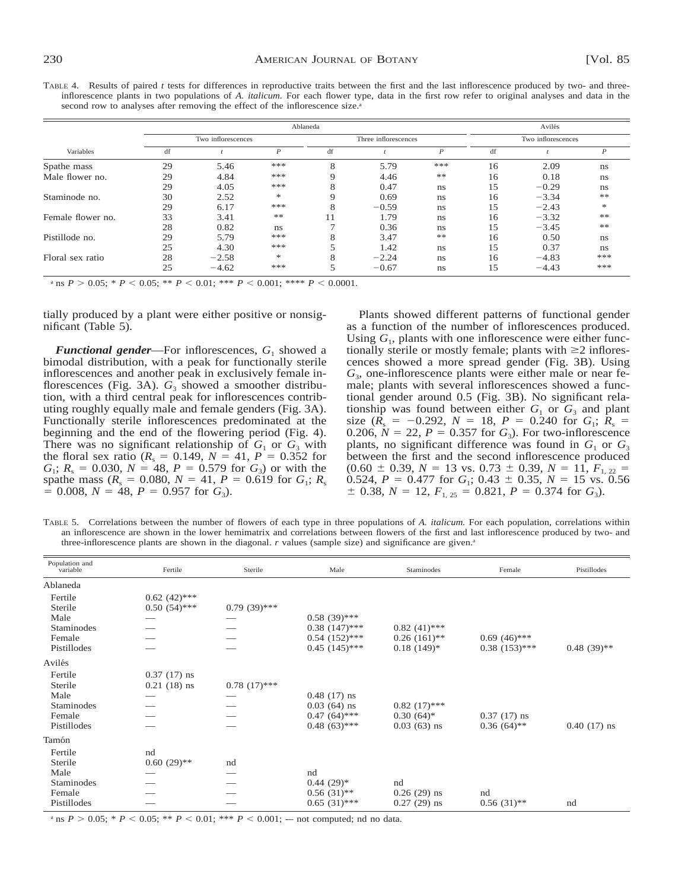TABLE 4. Results of paired *t* tests for differences in reproductive traits between the first and the last inflorescence produced by two- and threeinflorescence plants in two populations of *A. italicum.* For each flower type, data in the first row refer to original analyses and data in the second row to analyses after removing the effect of the inflorescence size.<sup>a</sup>

|                   |    |                    | Avilés           |    |                      |                  |                    |         |               |  |
|-------------------|----|--------------------|------------------|----|----------------------|------------------|--------------------|---------|---------------|--|
|                   |    | Two inflorescences |                  |    | Three inflorescences |                  | Two inflorescences |         |               |  |
| Variables         | df |                    | $\boldsymbol{P}$ | df |                      | $\boldsymbol{P}$ | df                 |         | P             |  |
| Spathe mass       | 29 | 5.46               | ***              | 8  | 5.79                 | ***              | 16                 | 2.09    | ns            |  |
| Male flower no.   | 29 | 4.84               | ***              | Q  | 4.46                 | **               | 16                 | 0.18    | ns            |  |
|                   | 29 | 4.05               | ***              | 8  | 0.47                 | ns               | 15                 | $-0.29$ | ns            |  |
| Staminode no.     | 30 | 2.52               | 冰                | Q  | 0.69                 | ns               | 16                 | $-3.34$ | **            |  |
|                   | 29 | 6.17               | ***              | 8  | $-0.59$              | ns               | 15                 | $-2.43$ | $\frac{1}{2}$ |  |
| Female flower no. | 33 | 3.41               | **               | 11 | 1.79                 | ns               | 16                 | $-3.32$ | **            |  |
|                   | 28 | 0.82               | ns               |    | 0.36                 | ns               | 15                 | $-3.45$ | $*\ast$       |  |
| Pistillode no.    | 29 | 5.79               | ***              | 8  | 3.47                 | **               | 16                 | 0.50    | ns            |  |
|                   | 25 | 4.30               | ***              |    | 1.42                 | ns               | 15                 | 0.37    | ns            |  |
| Floral sex ratio  | 28 | $-2.58$            | 冰                | 8  | $-2.24$              | ns               | 16                 | $-4.83$ | ***           |  |
|                   | 25 | $-4.62$            | ***              |    | $-0.67$              | ns               | 15                 | $-4.43$ | ***           |  |

a ns  $P > 0.05$ ; \*  $P < 0.05$ ; \*\*  $P < 0.01$ ; \*\*\*  $P < 0.001$ ; \*\*\*\*  $P < 0.0001$ .

tially produced by a plant were either positive or nonsignificant (Table 5).

*Functional gender*—For inflorescences,  $G_1$  showed a bimodal distribution, with a peak for functionally sterile inflorescences and another peak in exclusively female inflorescences (Fig. 3A).  $G_3$  showed a smoother distribution, with a third central peak for inflorescences contributing roughly equally male and female genders (Fig. 3A). Functionally sterile inflorescences predominated at the beginning and the end of the flowering period (Fig. 4). There was no significant relationship of  $G_1$  or  $G_3$  with the floral sex ratio ( $R_s = 0.149$ ,  $N = 41$ ,  $P = 0.352$  for  $G_1$ ;  $R_s = 0.030$ ,  $N = 48$ ,  $P = 0.579$  for  $G_3$ ) or with the spathe mass  $(R_s = 0.080, N = 41, P = 0.619$  for  $G_1$ ;  $R_s$  $= 0.008, N = 48, P = 0.957$  for  $G_3$ ).

Plants showed different patterns of functional gender as a function of the number of inflorescences produced. Using  $G_1$ , plants with one inflorescence were either functionally sterile or mostly female; plants with  $\geq 2$  inflorescences showed a more spread gender (Fig. 3B). Using *G*3, one-inflorescence plants were either male or near female; plants with several inflorescences showed a functional gender around 0.5 (Fig. 3B). No significant relationship was found between either  $G_1$  or  $G_3$  and plant size ( $R_s = -0.292$ ,  $N = 18$ ,  $P = 0.240$  for  $G_1$ ;  $R_s =$ 0.206,  $N = 22$ ,  $P = 0.357$  for  $G_3$ ). For two-inflorescence plants, no significant difference was found in  $G_1$  or  $G_3$ between the first and the second inflorescence produced  $(0.60 \pm 0.39, N = 13 \text{ vs. } 0.73 \pm 0.39, N = 11, F_{1,22}$ 0.524,  $P = 0.477$  for  $G_1$ ; 0.43  $\pm$  0.35,  $N = 15$  vs. 0.56  $\pm$  0.38, *N* = 12,  $F_{1, 25}$  = 0.821, *P* = 0.374 for *G*<sub>3</sub>).

TABLE 5. Correlations between the number of flowers of each type in three populations of *A. italicum.* For each population, correlations within an inflorescence are shown in the lower hemimatrix and correlations between flowers of the first and last inflorescence produced by two- and three-inflorescence plants are shown in the diagonal.  $r$  values (sample size) and significance are given.<sup>a</sup>

| Population and<br>variable | Fertile        | Sterile        | Male               | <b>Staminodes</b> | Female          | Pistillodes   |
|----------------------------|----------------|----------------|--------------------|-------------------|-----------------|---------------|
| Ablaneda                   |                |                |                    |                   |                 |               |
| Fertile                    | $0.62(42)$ *** |                |                    |                   |                 |               |
| Sterile                    | $0.50(54)$ *** | $0.79(39)$ *** |                    |                   |                 |               |
| Male                       |                |                | $0.58(39)$ ***     |                   |                 |               |
| Staminodes                 |                |                | $0.38(147)$ ***    | $0.82(41)$ ***    |                 |               |
| Female                     |                |                | $0.54$ $(152)$ *** | $0.26(161)$ **    | $0.69(46)$ ***  |               |
| Pistillodes                |                |                | $0.45(145)$ ***    | $0.18(149)*$      | $0.38(153)$ *** | $0.48(39)**$  |
| Avilés                     |                |                |                    |                   |                 |               |
| Fertile                    | $0.37(17)$ ns  |                |                    |                   |                 |               |
| Sterile                    | $0.21(18)$ ns  | $0.78(17)$ *** |                    |                   |                 |               |
| Male                       |                |                | $0.48(17)$ ns      |                   |                 |               |
| Staminodes                 |                |                | $0.03(64)$ ns      | $0.82(17)$ ***    |                 |               |
| Female                     |                |                | $0.47(64)$ ***     | $0.30(64)*$       | $0.37(17)$ ns   |               |
| Pistillodes                |                |                | $0.48(63)$ ***     | $0.03(63)$ ns     | $0.36(64)$ **   | $0.40(17)$ ns |
| Tamón                      |                |                |                    |                   |                 |               |
| Fertile                    | nd             |                |                    |                   |                 |               |
| Sterile                    | $0.60(29)$ **  | nd             |                    |                   |                 |               |
| Male                       |                |                | nd                 |                   |                 |               |
| Staminodes                 |                |                | $0.44(29)*$        | nd                |                 |               |
| Female                     |                |                | $0.56(31)$ **      | $0.26(29)$ ns     | nd              |               |
| Pistillodes                |                |                | $0.65(31)$ ***     | $0.27(29)$ ns     | $0.56(31)$ **   | nd            |

<sup>a</sup> ns  $P > 0.05$ ;  $* P < 0.05$ ;  $* P < 0.01$ ;  $* * P < 0.001$ ; -– not computed; nd no data.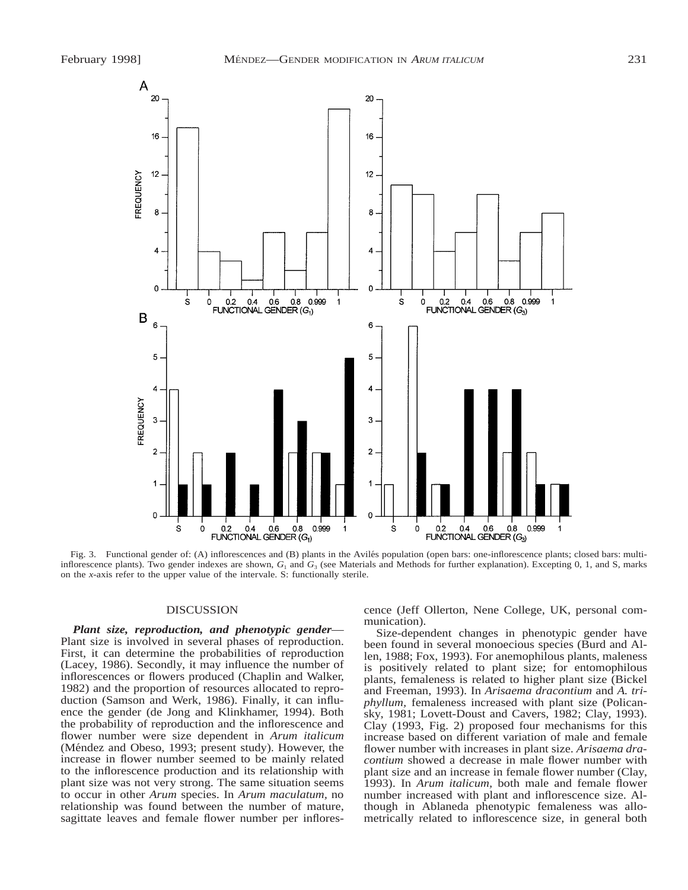

Fig. 3. Functional gender of: (A) inflorescences and (B) plants in the Avilés population (open bars: one-inflorescence plants; closed bars: multiinflorescence plants). Two gender indexes are shown,  $G_1$  and  $G_3$  (see Materials and Methods for further explanation). Excepting 0, 1, and S, marks on the *x*-axis refer to the upper value of the intervale. S: functionally sterile.

## DISCUSSION

*Plant size, reproduction, and phenotypic gender*— Plant size is involved in several phases of reproduction. First, it can determine the probabilities of reproduction (Lacey, 1986). Secondly, it may influence the number of inflorescences or flowers produced (Chaplin and Walker, 1982) and the proportion of resources allocated to reproduction (Samson and Werk, 1986). Finally, it can influence the gender (de Jong and Klinkhamer, 1994). Both the probability of reproduction and the inflorescence and flower number were size dependent in *Arum italicum* (Méndez and Obeso, 1993; present study). However, the increase in flower number seemed to be mainly related to the inflorescence production and its relationship with plant size was not very strong. The same situation seems to occur in other *Arum* species. In *Arum maculatum,* no relationship was found between the number of mature, sagittate leaves and female flower number per inflores-

cence (Jeff Ollerton, Nene College, UK, personal communication).

Size-dependent changes in phenotypic gender have been found in several monoecious species (Burd and Allen, 1988; Fox, 1993). For anemophilous plants, maleness is positively related to plant size; for entomophilous plants, femaleness is related to higher plant size (Bickel and Freeman, 1993). In *Arisaema dracontium* and *A. triphyllum,* femaleness increased with plant size (Policansky, 1981; Lovett-Doust and Cavers, 1982; Clay, 1993). Clay (1993, Fig. 2) proposed four mechanisms for this increase based on different variation of male and female flower number with increases in plant size. *Arisaema dracontium* showed a decrease in male flower number with plant size and an increase in female flower number (Clay, 1993). In *Arum italicum,* both male and female flower number increased with plant and inflorescence size. Although in Ablaneda phenotypic femaleness was allometrically related to inflorescence size, in general both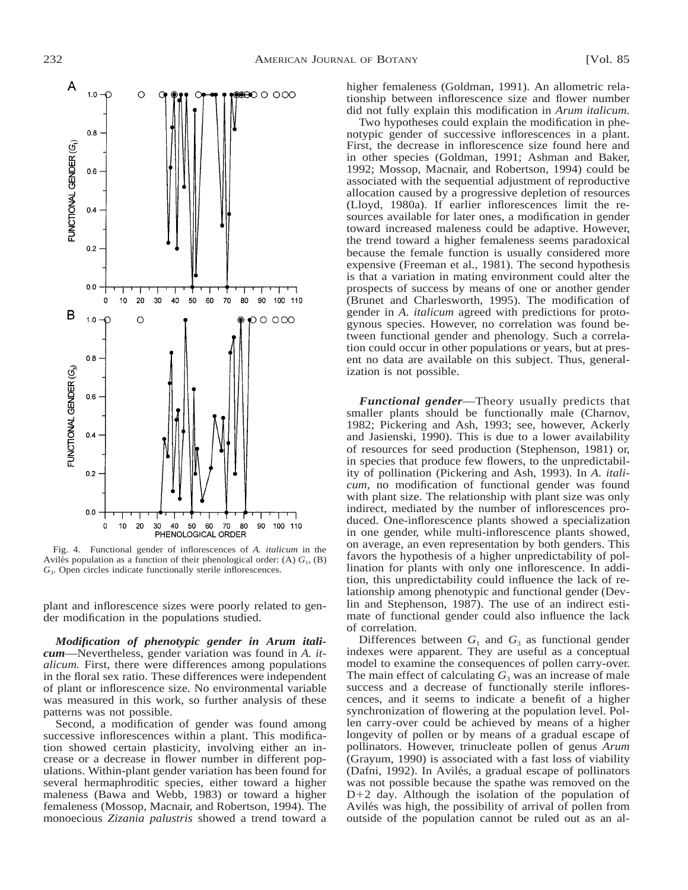

Fig. 4. Functional gender of inflorescences of *A. italicum* in the Aviles population as a function of their phenological order: (A)  $G<sub>1</sub>$ , (B) *G*3. Open circles indicate functionally sterile inflorescences.

plant and inflorescence sizes were poorly related to gender modification in the populations studied.

*Modification of phenotypic gender in Arum italicum*—Nevertheless, gender variation was found in *A. italicum.* First, there were differences among populations in the floral sex ratio. These differences were independent of plant or inflorescence size. No environmental variable was measured in this work, so further analysis of these patterns was not possible.

Second, a modification of gender was found among successive inflorescences within a plant. This modification showed certain plasticity, involving either an increase or a decrease in flower number in different populations. Within-plant gender variation has been found for several hermaphroditic species, either toward a higher maleness (Bawa and Webb, 1983) or toward a higher femaleness (Mossop, Macnair, and Robertson, 1994). The monoecious *Zizania palustris* showed a trend toward a higher femaleness (Goldman, 1991). An allometric relationship between inflorescence size and flower number did not fully explain this modification in *Arum italicum.*

Two hypotheses could explain the modification in phenotypic gender of successive inflorescences in a plant. First, the decrease in inflorescence size found here and in other species (Goldman, 1991; Ashman and Baker, 1992; Mossop, Macnair, and Robertson, 1994) could be associated with the sequential adjustment of reproductive allocation caused by a progressive depletion of resources (Lloyd, 1980a). If earlier inflorescences limit the resources available for later ones, a modification in gender toward increased maleness could be adaptive. However, the trend toward a higher femaleness seems paradoxical because the female function is usually considered more expensive (Freeman et al., 1981). The second hypothesis is that a variation in mating environment could alter the prospects of success by means of one or another gender (Brunet and Charlesworth, 1995). The modification of gender in *A. italicum* agreed with predictions for protogynous species. However, no correlation was found between functional gender and phenology. Such a correlation could occur in other populations or years, but at present no data are available on this subject. Thus, generalization is not possible.

*Functional gender*—Theory usually predicts that smaller plants should be functionally male (Charnov, 1982; Pickering and Ash, 1993; see, however, Ackerly and Jasienski, 1990). This is due to a lower availability of resources for seed production (Stephenson, 1981) or, in species that produce few flowers, to the unpredictability of pollination (Pickering and Ash, 1993). In *A. italicum,* no modification of functional gender was found with plant size. The relationship with plant size was only indirect, mediated by the number of inflorescences produced. One-inflorescence plants showed a specialization in one gender, while multi-inflorescence plants showed, on average, an even representation by both genders. This favors the hypothesis of a higher unpredictability of pollination for plants with only one inflorescence. In addition, this unpredictability could influence the lack of relationship among phenotypic and functional gender (Devlin and Stephenson, 1987). The use of an indirect estimate of functional gender could also influence the lack of correlation.

Differences between  $G_1$  and  $G_3$  as functional gender indexes were apparent. They are useful as a conceptual model to examine the consequences of pollen carry-over. The main effect of calculating  $G_3$  was an increase of male success and a decrease of functionally sterile inflorescences, and it seems to indicate a benefit of a higher synchronization of flowering at the population level. Pollen carry-over could be achieved by means of a higher longevity of pollen or by means of a gradual escape of pollinators. However, trinucleate pollen of genus *Arum* (Grayum, 1990) is associated with a fast loss of viability (Dafni, 1992). In Avilés, a gradual escape of pollinators was not possible because the spathe was removed on the  $D+2$  day. Although the isolation of the population of Avilés was high, the possibility of arrival of pollen from outside of the population cannot be ruled out as an al-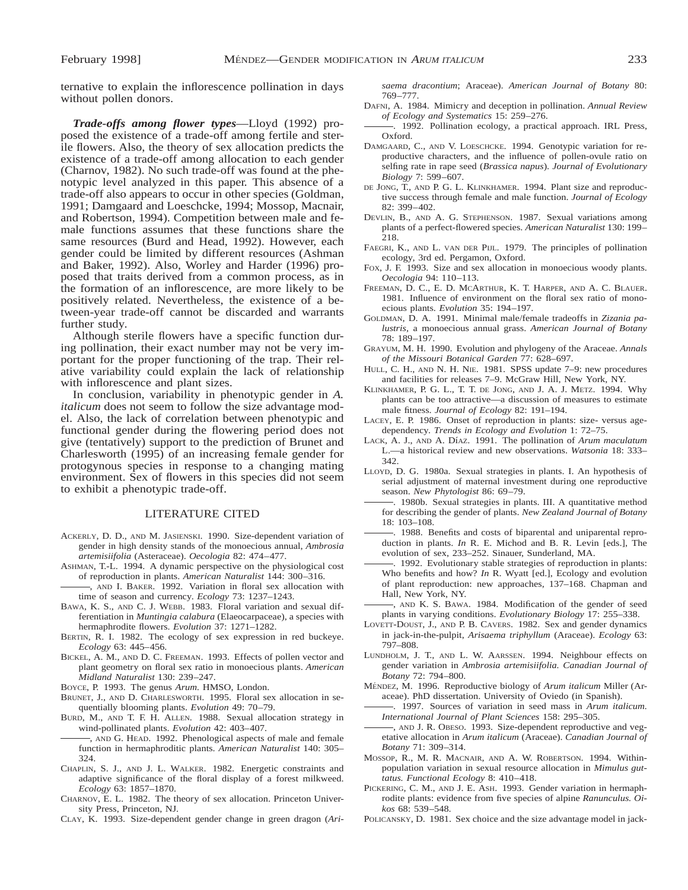ternative to explain the inflorescence pollination in days without pollen donors.

*Trade-offs among flower types*—Lloyd (1992) proposed the existence of a trade-off among fertile and sterile flowers. Also, the theory of sex allocation predicts the existence of a trade-off among allocation to each gender (Charnov, 1982). No such trade-off was found at the phenotypic level analyzed in this paper. This absence of a trade-off also appears to occur in other species (Goldman, 1991; Damgaard and Loeschcke, 1994; Mossop, Macnair, and Robertson, 1994). Competition between male and female functions assumes that these functions share the same resources (Burd and Head, 1992). However, each gender could be limited by different resources (Ashman and Baker, 1992). Also, Worley and Harder (1996) proposed that traits derived from a common process, as in the formation of an inflorescence, are more likely to be positively related. Nevertheless, the existence of a between-year trade-off cannot be discarded and warrants further study.

Although sterile flowers have a specific function during pollination, their exact number may not be very important for the proper functioning of the trap. Their relative variability could explain the lack of relationship with inflorescence and plant sizes.

In conclusion, variability in phenotypic gender in *A. italicum* does not seem to follow the size advantage model. Also, the lack of correlation between phenotypic and functional gender during the flowering period does not give (tentatively) support to the prediction of Brunet and Charlesworth (1995) of an increasing female gender for protogynous species in response to a changing mating environment. Sex of flowers in this species did not seem to exhibit a phenotypic trade-off.

#### LITERATURE CITED

- ACKERLY, D. D., AND M. JASIENSKI. 1990. Size-dependent variation of gender in high density stands of the monoecious annual, *Ambrosia artemisiifolia* (Asteraceae). *Oecologia* 82: 474–477.
- ASHMAN, T.-L. 1994. A dynamic perspective on the physiological cost of reproduction in plants. *American Naturalist* 144: 300–316.
- , AND I. BAKER. 1992. Variation in floral sex allocation with time of season and currency. *Ecology* 73: 1237–1243.
- BAWA, K. S., AND C. J. WEBB. 1983. Floral variation and sexual differentiation in *Muntingia calabura* (Elaeocarpaceae), a species with hermaphrodite flowers. *Evolution* 37: 1271–1282.
- BERTIN, R. I. 1982. The ecology of sex expression in red buckeye. *Ecology* 63: 445–456.
- BICKEL, A. M., AND D. C. FREEMAN. 1993. Effects of pollen vector and plant geometry on floral sex ratio in monoecious plants. *American Midland Naturalist* 130: 239–247.

BOYCE, P. 1993. The genus *Arum.* HMSO, London.

- BRUNET, J., AND D. CHARLESWORTH. 1995. Floral sex allocation in sequentially blooming plants. *Evolution* 49: 70–79.
- BURD, M., AND T. F. H. ALLEN. 1988. Sexual allocation strategy in wind-pollinated plants. *Evolution* 42: 403–407.

, AND G. HEAD. 1992. Phenological aspects of male and female function in hermaphroditic plants. *American Naturalist* 140: 305– 324.

- CHAPLIN, S. J., AND J. L. WALKER. 1982. Energetic constraints and adaptive significance of the floral display of a forest milkweed. *Ecology* 63: 1857–1870.
- CHARNOV, E. L. 1982. The theory of sex allocation. Princeton University Press, Princeton, NJ.

CLAY, K. 1993. Size-dependent gender change in green dragon (*Ari-*

*saema dracontium*; Araceae). *American Journal of Botany* 80: 769–777.

- DAFNI, A. 1984. Mimicry and deception in pollination. *Annual Review of Ecology and Systematics* 15: 259–276.
- . 1992. Pollination ecology, a practical approach. IRL Press, Oxford.
- DAMGAARD, C., AND V. LOESCHCKE. 1994. Genotypic variation for reproductive characters, and the influence of pollen-ovule ratio on selfing rate in rape seed (*Brassica napus*). *Journal of Evolutionary Biology* 7: 599–607.
- DE JONG, T., AND P. G. L. KLINKHAMER. 1994. Plant size and reproductive success through female and male function. *Journal of Ecology* 82: 399–402.
- DEVLIN, B., AND A. G. STEPHENSON. 1987. Sexual variations among plants of a perfect-flowered species. *American Naturalist* 130: 199– 218.
- FAEGRI, K., AND L. VAN DER PIJL. 1979. The principles of pollination ecology, 3rd ed. Pergamon, Oxford.
- FOX, J. F. 1993. Size and sex allocation in monoecious woody plants. *Oecologia* 94: 110–113.
- FREEMAN, D. C., E. D. MCARTHUR, K. T. HARPER, AND A. C. BLAUER. 1981. Influence of environment on the floral sex ratio of monoecious plants. *Evolution* 35: 194–197.
- GOLDMAN, D. A. 1991. Minimal male/female tradeoffs in *Zizania palustris,* a monoecious annual grass. *American Journal of Botany* 78: 189–197.
- GRAYUM, M. H. 1990. Evolution and phylogeny of the Araceae. *Annals of the Missouri Botanical Garden* 77: 628–697.
- HULL, C. H., AND N. H. NIE. 1981. SPSS update 7–9: new procedures and facilities for releases 7–9. McGraw Hill, New York, NY.
- KLINKHAMER, P. G. L., T. T. DE JONG, AND J. A. J. METZ. 1994. Why plants can be too attractive—a discussion of measures to estimate male fitness. *Journal of Ecology* 82: 191–194.
- LACEY, E. P. 1986. Onset of reproduction in plants: size- versus agedependency. *Trends in Ecology and Evolution* 1: 72–75.
- LACK, A. J., AND A. DíAZ. 1991. The pollination of *Arum maculatum* L.—a historical review and new observations. *Watsonia* 18: 333– 342.
- LLOYD, D. G. 1980a. Sexual strategies in plants. I. An hypothesis of serial adjustment of maternal investment during one reproductive season. *New Phytologist* 86: 69–79.
- . 1980b. Sexual strategies in plants. III. A quantitative method for describing the gender of plants. *New Zealand Journal of Botany* 18: 103–108.
- . 1988. Benefits and costs of biparental and uniparental reproduction in plants. *In* R. E. Michod and B. R. Levin [eds.], The evolution of sex, 233–252. Sinauer, Sunderland, MA.
- . 1992. Evolutionary stable strategies of reproduction in plants: Who benefits and how? *In* R. Wyatt [ed.], Ecology and evolution of plant reproduction: new approaches, 137–168. Chapman and Hall, New York, NY.
- , AND K. S. BAWA. 1984. Modification of the gender of seed plants in varying conditions. *Evolutionary Biology* 17: 255–338.
- LOVETT-DOUST, J., AND P. B. CAVERS. 1982. Sex and gender dynamics in jack-in-the-pulpit, *Arisaema triphyllum* (Araceae). *Ecology* 63: 797–808.
- LUNDHOLM, J. T., AND L. W. AARSSEN. 1994. Neighbour effects on gender variation in *Ambrosia artemisiifolia. Canadian Journal of Botany* 72: 794–800.
- MÉNDEZ, M. 1996. Reproductive biology of Arum italicum Miller (Araceae). PhD dissertation. University of Oviedo (in Spanish).
- . 1997. Sources of variation in seed mass in *Arum italicum. International Journal of Plant Sciences* 158: 295–305.
- , AND J. R. OBESO. 1993. Size-dependent reproductive and vegetative allocation in *Arum italicum* (Araceae). *Canadian Journal of Botany* 71: 309–314.
- MOSSOP, R., M. R. MACNAIR, AND A. W. ROBERTSON. 1994. Withinpopulation variation in sexual resource allocation in *Mimulus guttatus. Functional Ecology* 8: 410–418.
- PICKERING, C. M., AND J. E. ASH. 1993. Gender variation in hermaphrodite plants: evidence from five species of alpine *Ranunculus. Oikos* 68: 539–548.
- POLICANSKY, D. 1981. Sex choice and the size advantage model in jack-